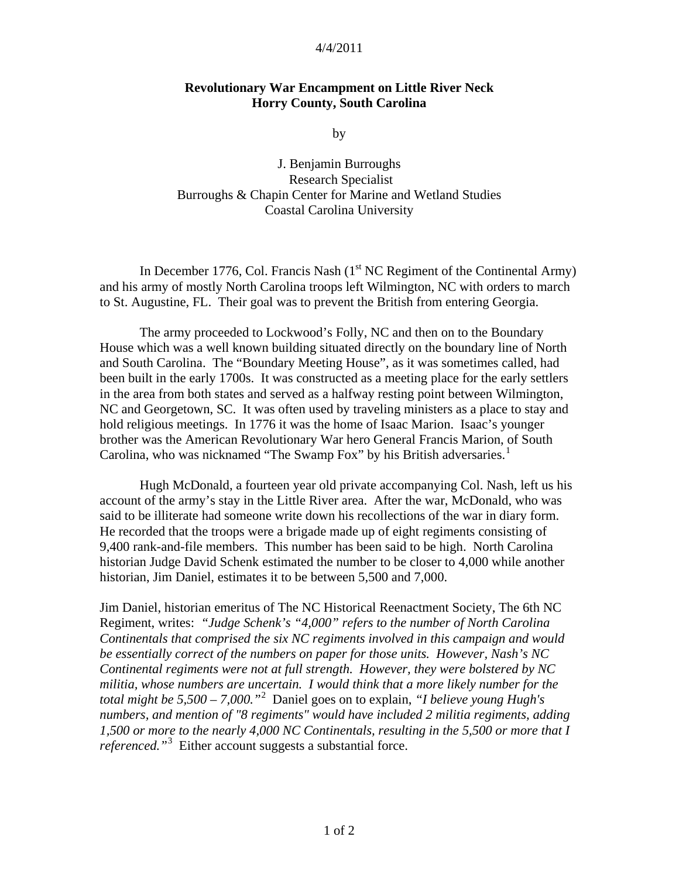## 4/4/2011

## **Revolutionary War Encampment on Little River Neck Horry County, South Carolina**

by

J. Benjamin Burroughs Research Specialist Burroughs & Chapin Center for Marine and Wetland Studies Coastal Carolina University

In December 1776, Col. Francis Nash  $(1<sup>st</sup> NC Regiment of the Continental Army)$ and his army of mostly North Carolina troops left Wilmington, NC with orders to march to St. Augustine, FL. Their goal was to prevent the British from entering Georgia.

The army proceeded to Lockwood's Folly, NC and then on to the Boundary House which was a well known building situated directly on the boundary line of North and South Carolina. The "Boundary Meeting House", as it was sometimes called, had been built in the early 1700s. It was constructed as a meeting place for the early settlers in the area from both states and served as a halfway resting point between Wilmington, NC and Georgetown, SC. It was often used by traveling ministers as a place to stay and hold religious meetings. In 1776 it was the home of Isaac Marion. Isaac's younger brother was the American Revolutionary War hero General Francis Marion, of South Carolina, who was nicknamed "The Swamp Fox" by his British adversaries.<sup>[1](#page-1-0)</sup>

Hugh McDonald, a fourteen year old private accompanying Col. Nash, left us his account of the army's stay in the Little River area. After the war, McDonald, who was said to be illiterate had someone write down his recollections of the war in diary form. He recorded that the troops were a brigade made up of eight regiments consisting of 9,400 rank-and-file members. This number has been said to be high. North Carolina historian Judge David Schenk estimated the number to be closer to 4,000 while another historian, Jim Daniel, estimates it to be between 5,500 and 7,000.

Jim Daniel, historian emeritus of The NC Historical Reenactment Society, The 6th NC Regiment, writes: *"Judge Schenk's "4,000" refers to the number of North Carolina Continentals that comprised the six NC regiments involved in this campaign and would be essentially correct of the numbers on paper for those units. However, Nash's NC Continental regiments were not at full strength. However, they were bolstered by NC militia, whose numbers are uncertain. I would think that a more likely number for the total might be 5,500 – 7,000."*[2](#page-1-1) Daniel goes on to explain, *"I believe young Hugh's numbers, and mention of "8 regiments" would have included 2 militia regiments, adding 1,500 or more to the nearly 4,000 NC Continentals, resulting in the 5,500 or more that I referenced."*[3](#page-1-2) Either account suggests a substantial force.